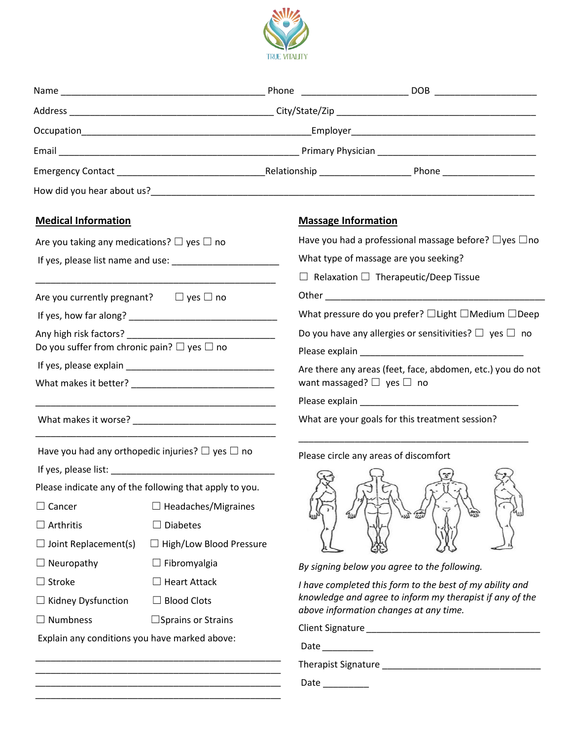

| <b>Medical Information</b>                                  |                                |  | <b>Massage Information</b>                                                                                                                                                                                                     |  |
|-------------------------------------------------------------|--------------------------------|--|--------------------------------------------------------------------------------------------------------------------------------------------------------------------------------------------------------------------------------|--|
| Are you taking any medications? $\square$ yes $\square$ no  |                                |  | Have you had a professional massage before? $\Box$ yes $\Box$ no                                                                                                                                                               |  |
|                                                             |                                |  | What type of massage are you seeking?                                                                                                                                                                                          |  |
|                                                             |                                |  | $\Box$ Relaxation $\Box$ Therapeutic/Deep Tissue                                                                                                                                                                               |  |
| Are you currently pregnant? $\Box$ yes $\Box$ no            |                                |  |                                                                                                                                                                                                                                |  |
|                                                             |                                |  | What pressure do you prefer? $\Box$ Light $\Box$ Medium $\Box$ Deep                                                                                                                                                            |  |
| Any high risk factors?                                      |                                |  | Do you have any allergies or sensitivities? $\Box$ yes $\Box$ no                                                                                                                                                               |  |
| Do you suffer from chronic pain? $\square$ yes $\square$ no |                                |  | Please explain example and a series of the series of the series of the series of the series of the series of the series of the series of the series of the series of the series of the series of the series of the series of t |  |
|                                                             |                                |  | Are there any areas (feet, face, abdomen, etc.) you do not                                                                                                                                                                     |  |
|                                                             |                                |  | want massaged? $\Box$ yes $\Box$ no                                                                                                                                                                                            |  |
|                                                             |                                |  |                                                                                                                                                                                                                                |  |
|                                                             |                                |  | What are your goals for this treatment session?                                                                                                                                                                                |  |
| Have you had any orthopedic injuries? $\Box$ yes $\Box$ no  |                                |  | Please circle any areas of discomfort                                                                                                                                                                                          |  |
|                                                             |                                |  |                                                                                                                                                                                                                                |  |
| Please indicate any of the following that apply to you.     |                                |  |                                                                                                                                                                                                                                |  |
| $\Box$ Cancer                                               | $\Box$ Headaches/Migraines     |  |                                                                                                                                                                                                                                |  |
| $\Box$ Arthritis                                            | <b>Diabetes</b>                |  |                                                                                                                                                                                                                                |  |
| $\Box$ Joint Replacement(s)                                 | $\Box$ High/Low Blood Pressure |  |                                                                                                                                                                                                                                |  |
| $\Box$ Neuropathy                                           | $\Box$ Fibromyalgia            |  | By signing below you agree to the following.                                                                                                                                                                                   |  |
| $\Box$ Stroke                                               | <b>Heart Attack</b>            |  | I have completed this form to the best of my ability and                                                                                                                                                                       |  |
| $\Box$ Kidney Dysfunction                                   | <b>Blood Clots</b>             |  | knowledge and agree to inform my therapist if any of the<br>above information changes at any time.                                                                                                                             |  |
| $\Box$ Numbness                                             | $\square$ Sprains or Strains   |  |                                                                                                                                                                                                                                |  |
| Explain any conditions you have marked above:               |                                |  |                                                                                                                                                                                                                                |  |
|                                                             |                                |  | Date                                                                                                                                                                                                                           |  |
|                                                             |                                |  |                                                                                                                                                                                                                                |  |

Date \_\_\_\_\_\_\_\_\_

\_\_\_\_\_\_\_\_\_\_\_\_\_\_\_\_\_\_\_\_\_\_\_\_\_\_\_\_\_\_\_\_\_\_\_\_\_\_\_\_\_\_\_\_\_\_\_\_ \_\_\_\_\_\_\_\_\_\_\_\_\_\_\_\_\_\_\_\_\_\_\_\_\_\_\_\_\_\_\_\_\_\_\_\_\_\_\_\_\_\_\_\_\_\_\_\_